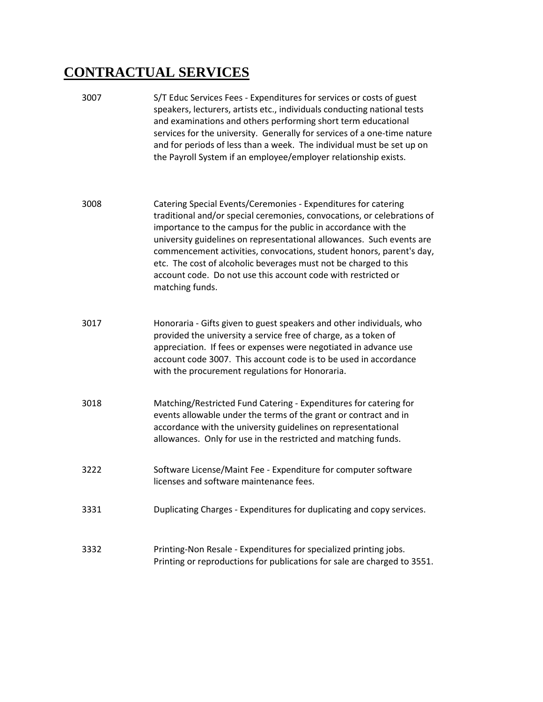## **CONTRACTUAL SERVICES**

3007 S/T Educ Services Fees - Expenditures for services or costs of guest speakers, lecturers, artists etc., individuals conducting national tests and examinations and others performing short term educational services for the university. Generally for services of a one-time nature and for periods of less than a week. The individual must be set up on the Payroll System if an employee/employer relationship exists. 3008 Catering Special Events/Ceremonies - Expenditures for catering traditional and/or special ceremonies, convocations, or celebrations of importance to the campus for the public in accordance with the university guidelines on representational allowances. Such events are commencement activities, convocations, student honors, parent's day, etc. The cost of alcoholic beverages must not be charged to this account code. Do not use this account code with restricted or matching funds. 3017 Honoraria - Gifts given to guest speakers and other individuals, who provided the university a service free of charge, as a token of appreciation. If fees or expenses were negotiated in advance use account code 3007. This account code is to be used in accordance with the procurement regulations for Honoraria. 3018 Matching/Restricted Fund Catering - Expenditures for catering for events allowable under the terms of the grant or contract and in accordance with the university guidelines on representational allowances. Only for use in the restricted and matching funds. 3222 Software License/Maint Fee - Expenditure for computer software licenses and software maintenance fees. 3331 Duplicating Charges - Expenditures for duplicating and copy services. 3332 Printing-Non Resale - Expenditures for specialized printing jobs. Printing or reproductions for publications for sale are charged to 3551.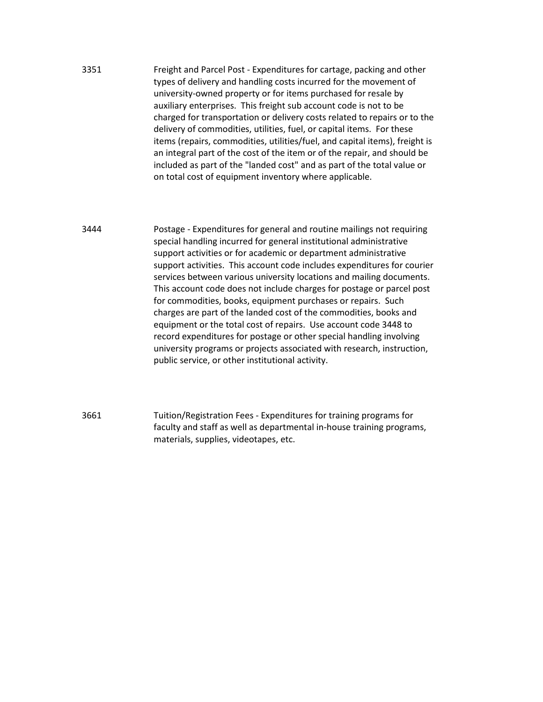3351 Freight and Parcel Post - Expenditures for cartage, packing and other types of delivery and handling costs incurred for the movement of university-owned property or for items purchased for resale by auxiliary enterprises. This freight sub account code is not to be charged for transportation or delivery costs related to repairs or to the delivery of commodities, utilities, fuel, or capital items. For these items (repairs, commodities, utilities/fuel, and capital items), freight is an integral part of the cost of the item or of the repair, and should be included as part of the "landed cost" and as part of the total value or on total cost of equipment inventory where applicable.

3444 Postage - Expenditures for general and routine mailings not requiring special handling incurred for general institutional administrative support activities or for academic or department administrative support activities. This account code includes expenditures for courier services between various university locations and mailing documents. This account code does not include charges for postage or parcel post for commodities, books, equipment purchases or repairs. Such charges are part of the landed cost of the commodities, books and equipment or the total cost of repairs. Use account code 3448 to record expenditures for postage or other special handling involving university programs or projects associated with research, instruction, public service, or other institutional activity.

3661 Tuition/Registration Fees - Expenditures for training programs for faculty and staff as well as departmental in-house training programs, materials, supplies, videotapes, etc.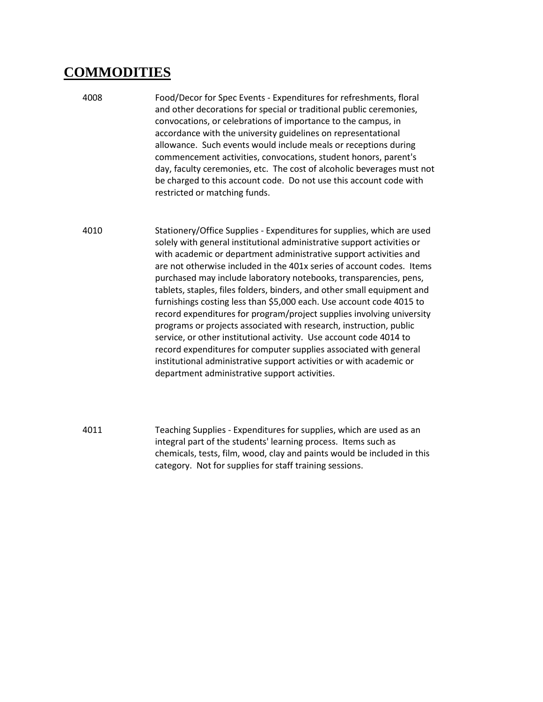## **COMMODITIES**

- 4008 Food/Decor for Spec Events Expenditures for refreshments, floral and other decorations for special or traditional public ceremonies, convocations, or celebrations of importance to the campus, in accordance with the university guidelines on representational allowance. Such events would include meals or receptions during commencement activities, convocations, student honors, parent's day, faculty ceremonies, etc. The cost of alcoholic beverages must not be charged to this account code. Do not use this account code with restricted or matching funds.
- 4010 Stationery/Office Supplies Expenditures for supplies, which are used solely with general institutional administrative support activities or with academic or department administrative support activities and are not otherwise included in the 401x series of account codes. Items purchased may include laboratory notebooks, transparencies, pens, tablets, staples, files folders, binders, and other small equipment and furnishings costing less than \$5,000 each. Use account code 4015 to record expenditures for program/project supplies involving university programs or projects associated with research, instruction, public service, or other institutional activity. Use account code 4014 to record expenditures for computer supplies associated with general institutional administrative support activities or with academic or department administrative support activities.
- 4011 Teaching Supplies Expenditures for supplies, which are used as an integral part of the students' learning process. Items such as chemicals, tests, film, wood, clay and paints would be included in this category. Not for supplies for staff training sessions.